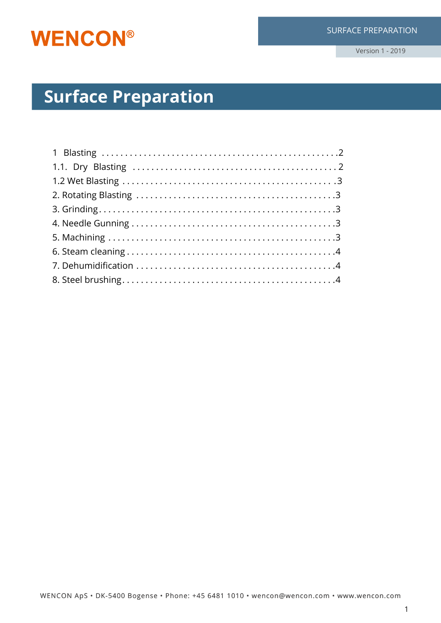## **WENCON®**

Version 1 - 2019

## **Surface Preparation**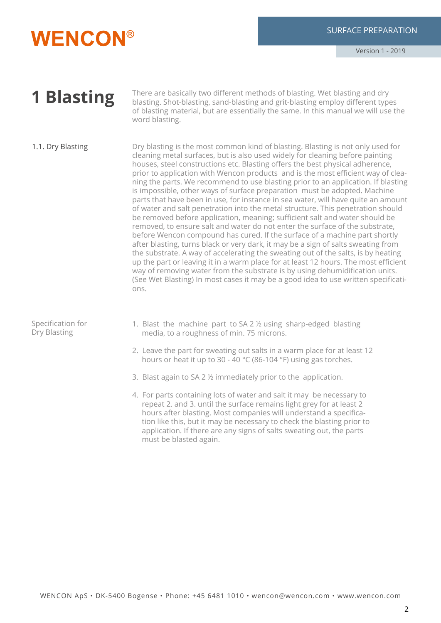## **WENCON®**

## **1 Blasting**

There are basically two different methods of blasting. Wet blasting and dry blasting. Shot-blasting, sand-blasting and grit-blasting employ different types of blasting material, but are essentially the same. In this manual we will use the word blasting.

1.1. Dry Blasting

Dry blasting is the most common kind of blasting. Blasting is not only used for cleaning metal surfaces, but is also used widely for cleaning before painting houses, steel constructions etc. Blasting offers the best physical adherence, prior to application with Wencon products and is the most efficient way of cleaning the parts. We recommend to use blasting prior to an application. If blasting is impossible, other ways of surface preparation must be adopted. Machine parts that have been in use, for instance in sea water, will have quite an amount of water and salt penetration into the metal structure. This penetration should be removed before application, meaning; sufficient salt and water should be removed, to ensure salt and water do not enter the surface of the substrate, before Wencon compound has cured. If the surface of a machine part shortly after blasting, turns black or very dark, it may be a sign of salts sweating from the substrate. A way of accelerating the sweating out of the salts, is by heating up the part or leaving it in a warm place for at least 12 hours. The most efficient way of removing water from the substrate is by using dehumidification units. (See Wet Blasting) In most cases it may be a good idea to use written specifications.

Specification for Dry Blasting

- 1. Blast the machine part to SA 2 ½ using sharp-edged blasting media, to a roughness of min. 75 microns.
- 2. Leave the part for sweating out salts in a warm place for at least 12 hours or heat it up to 30 - 40 °C (86-104 °F) using gas torches.
- 3. Blast again to SA 2 ½ immediately prior to the application.
- 4. For parts containing lots of water and salt it may be necessary to repeat 2. and 3. until the surface remains light grey for at least 2 hours after blasting. Most companies will understand a specifica tion like this, but it may be necessary to check the blasting prior to application. If there are any signs of salts sweating out, the parts must be blasted again.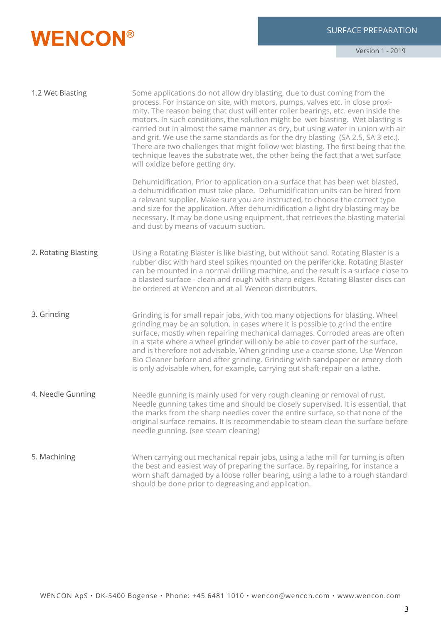

| 1.2 Wet Blasting     | Some applications do not allow dry blasting, due to dust coming from the<br>process. For instance on site, with motors, pumps, valves etc. in close proxi-<br>mity. The reason being that dust will enter roller bearings, etc. even inside the<br>motors. In such conditions, the solution might be wet blasting. Wet blasting is<br>carried out in almost the same manner as dry, but using water in union with air<br>and grit. We use the same standards as for the dry blasting (SA 2.5, SA 3 etc.).<br>There are two challenges that might follow wet blasting. The first being that the<br>technique leaves the substrate wet, the other being the fact that a wet surface<br>will oxidize before getting dry. |
|----------------------|-----------------------------------------------------------------------------------------------------------------------------------------------------------------------------------------------------------------------------------------------------------------------------------------------------------------------------------------------------------------------------------------------------------------------------------------------------------------------------------------------------------------------------------------------------------------------------------------------------------------------------------------------------------------------------------------------------------------------|
|                      | Dehumidification. Prior to application on a surface that has been wet blasted,<br>a dehumidification must take place. Dehumidification units can be hired from<br>a relevant supplier. Make sure you are instructed, to choose the correct type<br>and size for the application. After dehumidification a light dry blasting may be<br>necessary. It may be done using equipment, that retrieves the blasting material<br>and dust by means of vacuum suction.                                                                                                                                                                                                                                                        |
| 2. Rotating Blasting | Using a Rotating Blaster is like blasting, but without sand. Rotating Blaster is a<br>rubber disc with hard steel spikes mounted on the perifericke. Rotating Blaster<br>can be mounted in a normal drilling machine, and the result is a surface close to<br>a blasted surface - clean and rough with sharp edges. Rotating Blaster discs can<br>be ordered at Wencon and at all Wencon distributors.                                                                                                                                                                                                                                                                                                                |
| 3. Grinding          | Grinding is for small repair jobs, with too many objections for blasting. Wheel<br>grinding may be an solution, in cases where it is possible to grind the entire<br>surface, mostly when repairing mechanical damages. Corroded areas are often<br>in a state where a wheel grinder will only be able to cover part of the surface,<br>and is therefore not advisable. When grinding use a coarse stone. Use Wencon<br>Bio Cleaner before and after grinding. Grinding with sandpaper or emery cloth<br>is only advisable when, for example, carrying out shaft-repair on a lathe.                                                                                                                                   |
| 4. Needle Gunning    | Needle gunning is mainly used for very rough cleaning or removal of rust.<br>Needle gunning takes time and should be closely supervised. It is essential, that<br>the marks from the sharp needles cover the entire surface, so that none of the<br>original surface remains. It is recommendable to steam clean the surface before<br>needle gunning. (see steam cleaning)                                                                                                                                                                                                                                                                                                                                           |
| 5. Machining         | When carrying out mechanical repair jobs, using a lathe mill for turning is often<br>the best and easiest way of preparing the surface. By repairing, for instance a<br>worn shaft damaged by a loose roller bearing, using a lathe to a rough standard<br>should be done prior to degreasing and application.                                                                                                                                                                                                                                                                                                                                                                                                        |